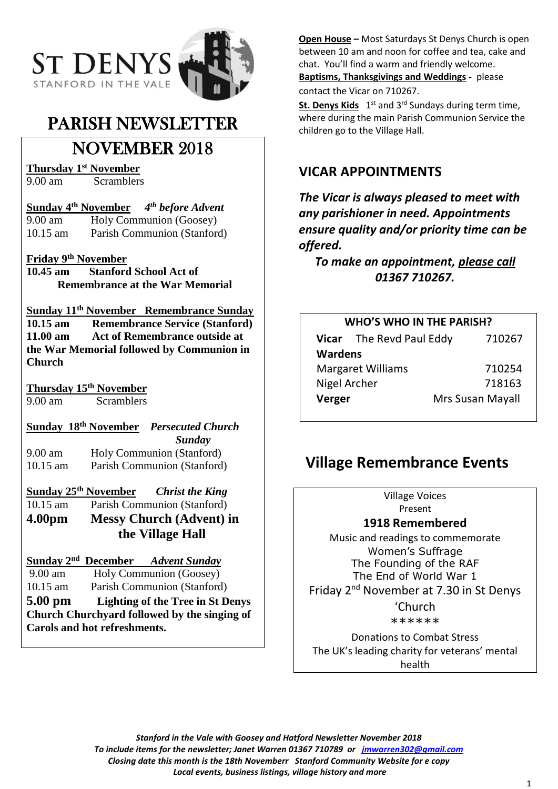

# PARISH NEWSLETTER

# NOVEMBER 2018

**Thursday 1st November**

Scramblers

**Sunday 4 th November** *4 th before Advent* 9.00 am Holy Communion (Goosey)

10.15 am Parish Communion (Stanford)

### **Friday 9th November**

**10.45 am Stanford School Act of Remembrance at the War Memorial**

**Sunday 11th November Remembrance Sunday 10.15 am Remembrance Service (Stanford) 11.00 am Act of Remembrance outside at the War Memorial followed by Communion in Church**

**Thursday 15th November**

9.00 am Scramblers

## **Sunday 18th November** *Persecuted Church*

 *Sunday*  9.00 am Holy Communion (Stanford) 10.15 am Parish Communion (Stanford)

## **Sunday 25th November** *Christ the King*

10.15 am Parish Communion (Stanford) **4.00pm Messy Church (Advent) in** 

 **the Village Hall**

## **Sunday 2nd December** *Advent Sunday*

9.00 am Holy Communion (Goosey)

10.15 am Parish Communion (Stanford) **5.00 pm Lighting of the Tree in St Denys** 

**Church Churchyard followed by the singing of Carols and hot refreshments.**

**Open House –** Most Saturdays St Denys Church is open between 10 am and noon for coffee and tea, cake and chat. You'll find a warm and friendly welcome. **Baptisms, Thanksgivings and Weddings -** please contact the Vicar on 710267.

St. Denys Kids 1<sup>st</sup> and 3<sup>rd</sup> Sundays during term time, where during the main Parish Communion Service the children go to the Village Hall.

## **VICAR APPOINTMENTS**

*The Vicar is always pleased to meet with any parishioner in need. Appointments ensure quality and/or priority time can be offered.*

*To make an appointment, please call 01367 710267.*

| <b>WHO'S WHO IN THE PARISH?</b> |                          |                  |
|---------------------------------|--------------------------|------------------|
|                                 | Vicar The Revd Paul Eddy | 710267           |
| <b>Wardens</b>                  |                          |                  |
| <b>Margaret Williams</b>        |                          | 710254           |
| Nigel Archer                    |                          | 718163           |
| Verger                          |                          | Mrs Susan Mayall |

# **Village Remembrance Events**

Village Voices Present

### **1918 Remembered**

Music and readings to commemorate Women's Suffrage The Founding of the RAF The End of World War 1 Friday 2nd November at 7.30 in St Denys 'Church \*\*\*\*\*\*

Donations to Combat Stress The UK's leading charity for veterans' mental health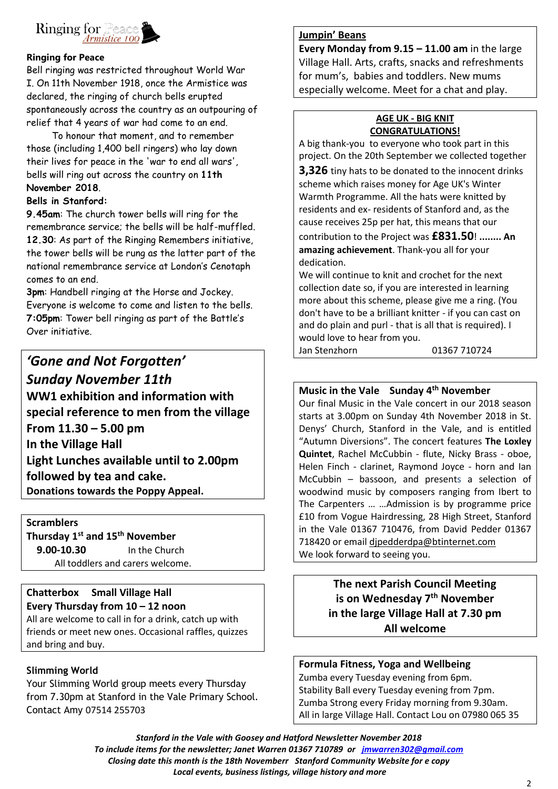

#### **Ringing for Peace**

Bell ringing was restricted throughout World War I. On 11th November 1918, once the Armistice was declared, the ringing of church bells erupted spontaneously across the country as an outpouring of relief that 4 years of war had come to an end.

 To honour that moment, and to remember those (including 1,400 bell ringers) who lay down their lives for peace in the 'war to end all wars', bells will ring out across the country on **11th November 2018**.

#### **Bells in Stanford:**

**9.45am**: The church tower bells will ring for the remembrance service; the bells will be half-muffled. **12.30**: As part of the Ringing Remembers initiative, the tower bells will be rung as the latter part of the national remembrance service at London's Cenotaph comes to an end.

**3pm**: Handbell ringing at the Horse and Jockey. Everyone is welcome to come and listen to the bells. **7:05pm**: Tower bell ringing as part of the Battle's Over initiative.

*'Gone and Not Forgotten' Sunday November 11th*  **WW1 exhibition and information with special reference to men from the village From 11.30 – 5.00 pm In the Village Hall Light Lunches available until to 2.00pm followed by tea and cake. Donations towards the Poppy Appeal.**

**Scramblers Thursday 1st and 15th November 9.00-10.30** In the Church All toddlers and carers welcome.

## **Chatterbox Small Village Hall**

**Every Thursday from 10 – 12 noon** All are welcome to call in for a drink, catch up with friends or meet new ones. Occasional raffles, quizzes and bring and buy.

### **Slimming World**

Your Slimming World group meets every Thursday from 7.30pm at Stanford in the Vale Primary School. Contact Amy 07514 255703

#### **Jumpin' Beans**

**Every Monday from 9.15 – 11.00 am** in the large Village Hall. Arts, crafts, snacks and refreshments for mum's, babies and toddlers. New mums especially welcome. Meet for a chat and play.

#### **AGE UK - BIG KNIT CONGRATULATIONS!**

A big thank-you to everyone who took part in this project. On the 20th September we collected together

**3,326** tiny hats to be donated to the innocent drinks scheme which raises money for Age UK's Winter Warmth Programme. All the hats were knitted by residents and ex- residents of Stanford and, as the cause receives 25p per hat, this means that our

contribution to the Project was **£831.50**! **........ An amazing achievement**. Thank-you all for your dedication.

We will continue to knit and crochet for the next collection date so, if you are interested in learning more about this scheme, please give me a ring. (You don't have to be a brilliant knitter - if you can cast on and do plain and purl - that is all that is required). I would love to hear from you.

Jan Stenzhorn 01367 710724

## **Music in the Vale Sunday 4th November**

Our final Music in the Vale concert in our 2018 season starts at 3.00pm on Sunday 4th November 2018 in St. Denys' Church, Stanford in the Vale, and is entitled "Autumn Diversions". The concert features **The Loxley Quintet**, Rachel McCubbin - flute, Nicky Brass - oboe, Helen Finch - clarinet, Raymond Joyce - horn and Ian McCubbin – bassoon, and presents a selection of woodwind music by composers ranging from Ibert to The Carpenters … …Admission is by programme price £10 from Vogue Hairdressing, 28 High Street, Stanford in the Vale 01367 710476, from David Pedder 01367 718420 or email [djpedderdpa@btinternet.com](mailto:djpedderdpa@btinternet.com) We look forward to seeing you.

> **The next Parish Council Meeting is on Wednesday 7th November in the large Village Hall at 7.30 pm All welcome**

### **Formula Fitness, Yoga and Wellbeing**

Zumba every Tuesday evening from 6pm. Stability Ball every Tuesday evening from 7pm. Zumba Strong every Friday morning from 9.30am. All in large Village Hall. Contact Lou on 07980 065 35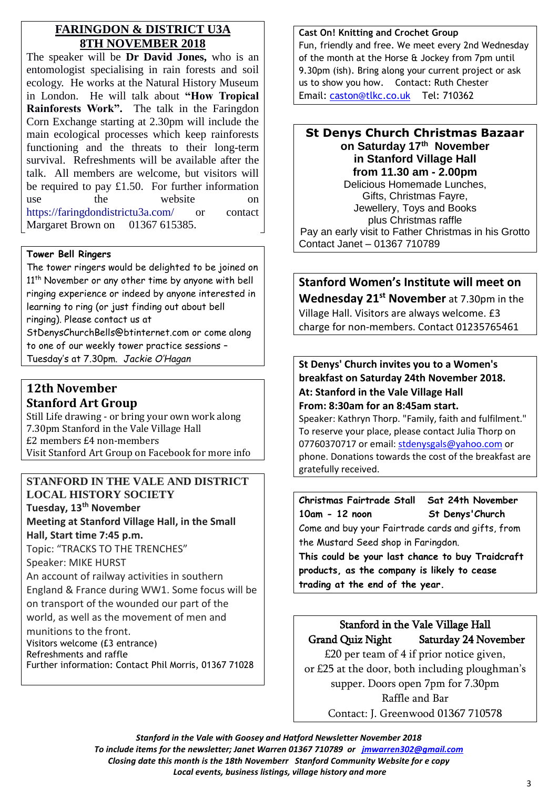## **FARINGDON & DISTRICT U3A 8TH NOVEMBER 2018**

The speaker will be **Dr David Jones,** who is an entomologist specialising in rain forests and soil ecology. He works at the Natural History Museum in London. He will talk about **"How Tropical Rainforests Work".** The talk in the Faringdon Corn Exchange starting at 2.30pm will include the main ecological processes which keep rainforests functioning and the threats to their long-term survival. Refreshments will be available after the talk. All members are welcome, but visitors will be required to pay £1.50. For further information use the website on <https://faringdondistrictu3a.com/> or contact Margaret Brown on 01367 615385.

#### **Tower Bell Ringers**

The tower ringers would be delighted to be joined on 11<sup>th</sup> November or any other time by anyone with bell ringing experience or indeed by anyone interested in learning to ring (or just finding out about bell ringing). Please contact us at StDenysChurchBells@btinternet.com or come along to one of our weekly tower practice sessions – Tuesday's at 7.30pm. *Jackie O'Hagan*

## **12th November Stanford Art Group**

Still Life drawing - or bring your own work along 7.30pm Stanford in the Vale Village Hall £2 members £4 non-members Visit Stanford Art Group on Facebook for more info

## **STANFORD IN THE VALE AND DISTRICT LOCAL HISTORY SOCIETY Tuesday, 13th November**

**Meeting at Stanford Village Hall, in the Small Hall, Start time 7:45 p.m.**

Topic: "TRACKS TO THE TRENCHES" Speaker: MIKE HURST An account of railway activities in southern England & France during WW1. Some focus will be on transport of the wounded our part of the world, as well as the movement of men and munitions to the front. Visitors welcome (£3 entrance) Refreshments and raffle Further information: Contact Phil Morris, 01367 71028

#### **Cast On! Knitting and Crochet Group**

Fun, friendly and free. We meet every 2nd Wednesday of the month at the Horse & Jockey from 7pm until 9.30pm (ish). Bring along your current project or ask us to show you how. Contact: Ruth Chester Email: [caston@tlkc.co.uk](mailto:caston@tlkc.co.uk) Tel: 710362

#### **St Denys Church Christmas Bazaar on Saturday 17th November in Stanford Village Hall from 11.30 am - 2.00pm** Delicious Homemade Lunches, Gifts, Christmas Fayre, Jewellery, Toys and Books plus Christmas raffle Pay an early visit to Father Christmas in his Grotto Contact Janet – 01367 710789

**Stanford Women's Institute will meet on Wednesday 21st November** at 7.30pm in the Village Hall. Visitors are always welcome. £3 charge for non-members. Contact 01235765461

### **St Denys' Church invites you to a Women's breakfast on Saturday 24th November 2018. At: Stanford in the Vale Village Hall From: 8:30am for an 8:45am start.**

Speaker: Kathryn Thorp. "Family, faith and fulfilment." To reserve your place, please contact Julia Thorp on 07760370717 or email: [stdenysgals@yahoo.com](mailto:stdenysgals@yahoo.com) or phone. Donations towards the cost of the breakfast are gratefully received.

## **Christmas Fairtrade Stall Sat 24th November 10am - 12 noon St Denys'Church** Come and buy your Fairtrade cards and gifts, from the Mustard Seed shop in Faringdon. **This could be your last chance to buy Traidcraft**

**products, as the company is likely to cease trading at the end of the year.**

## Stanford in the Vale Village Hall Grand Quiz Night Saturday 24 November £20 per team of 4 if prior notice given,

or £25 at the door, both including ploughman's supper. Doors open 7pm for 7.30pm Raffle and Bar Contact: J. Greenwood 01367 710578